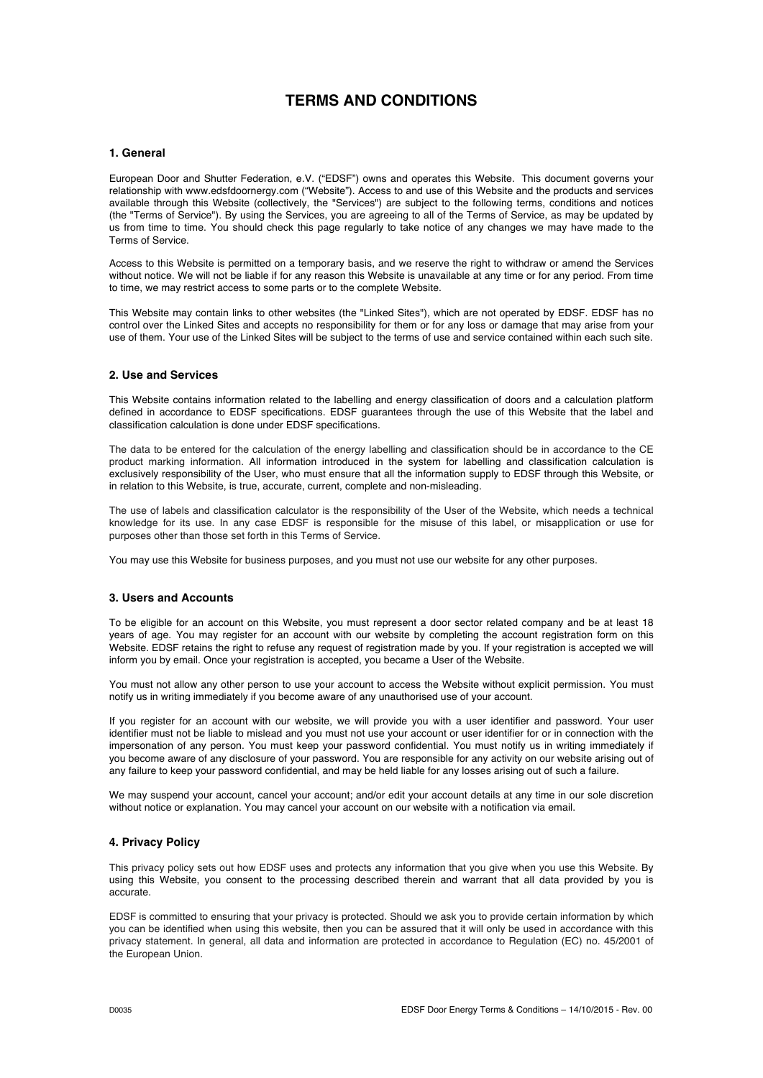# **TERMS AND CONDITIONS**

## **1. General**

European Door and Shutter Federation, e.V. ("EDSF") owns and operates this Website. This document governs your relationship with www.edsfdoornergy.com ("Website"). Access to and use of this Website and the products and services available through this Website (collectively, the "Services") are subject to the following terms, conditions and notices (the "Terms of Service"). By using the Services, you are agreeing to all of the Terms of Service, as may be updated by us from time to time. You should check this page regularly to take notice of any changes we may have made to the Terms of Service.

Access to this Website is permitted on a temporary basis, and we reserve the right to withdraw or amend the Services without notice. We will not be liable if for any reason this Website is unavailable at any time or for any period. From time to time, we may restrict access to some parts or to the complete Website.

This Website may contain links to other websites (the "Linked Sites"), which are not operated by EDSF. EDSF has no control over the Linked Sites and accepts no responsibility for them or for any loss or damage that may arise from your use of them. Your use of the Linked Sites will be subject to the terms of use and service contained within each such site.

# **2. Use and Services**

This Website contains information related to the labelling and energy classification of doors and a calculation platform defined in accordance to EDSF specifications. EDSF guarantees through the use of this Website that the label and classification calculation is done under EDSF specifications.

The data to be entered for the calculation of the energy labelling and classification should be in accordance to the CE product marking information. All information introduced in the system for labelling and classification calculation is exclusively responsibility of the User, who must ensure that all the information supply to EDSF through this Website, or in relation to this Website, is true, accurate, current, complete and non-misleading.

The use of labels and classification calculator is the responsibility of the User of the Website, which needs a technical knowledge for its use. In any case EDSF is responsible for the misuse of this label, or misapplication or use for purposes other than those set forth in this Terms of Service.

You may use this Website for business purposes, and you must not use our website for any other purposes.

# **3. Users and Accounts**

To be eligible for an account on this Website, you must represent a door sector related company and be at least 18 years of age. You may register for an account with our website by completing the account registration form on this Website. EDSF retains the right to refuse any request of registration made by you. If your registration is accepted we will inform you by email. Once your registration is accepted, you became a User of the Website.

You must not allow any other person to use your account to access the Website without explicit permission. You must notify us in writing immediately if you become aware of any unauthorised use of your account.

If you register for an account with our website, we will provide you with a user identifier and password. Your user identifier must not be liable to mislead and you must not use your account or user identifier for or in connection with the impersonation of any person. You must keep your password confidential. You must notify us in writing immediately if you become aware of any disclosure of your password. You are responsible for any activity on our website arising out of any failure to keep your password confidential, and may be held liable for any losses arising out of such a failure.

We may suspend your account, cancel your account; and/or edit your account details at any time in our sole discretion without notice or explanation. You may cancel your account on our website with a notification via email.

## **4. Privacy Policy**

This privacy policy sets out how EDSF uses and protects any information that you give when you use this Website. By using this Website, you consent to the processing described therein and warrant that all data provided by you is accurate.

EDSF is committed to ensuring that your privacy is protected. Should we ask you to provide certain information by which you can be identified when using this website, then you can be assured that it will only be used in accordance with this privacy statement. In general, all data and information are protected in accordance to Regulation (EC) no. 45/2001 of the European Union.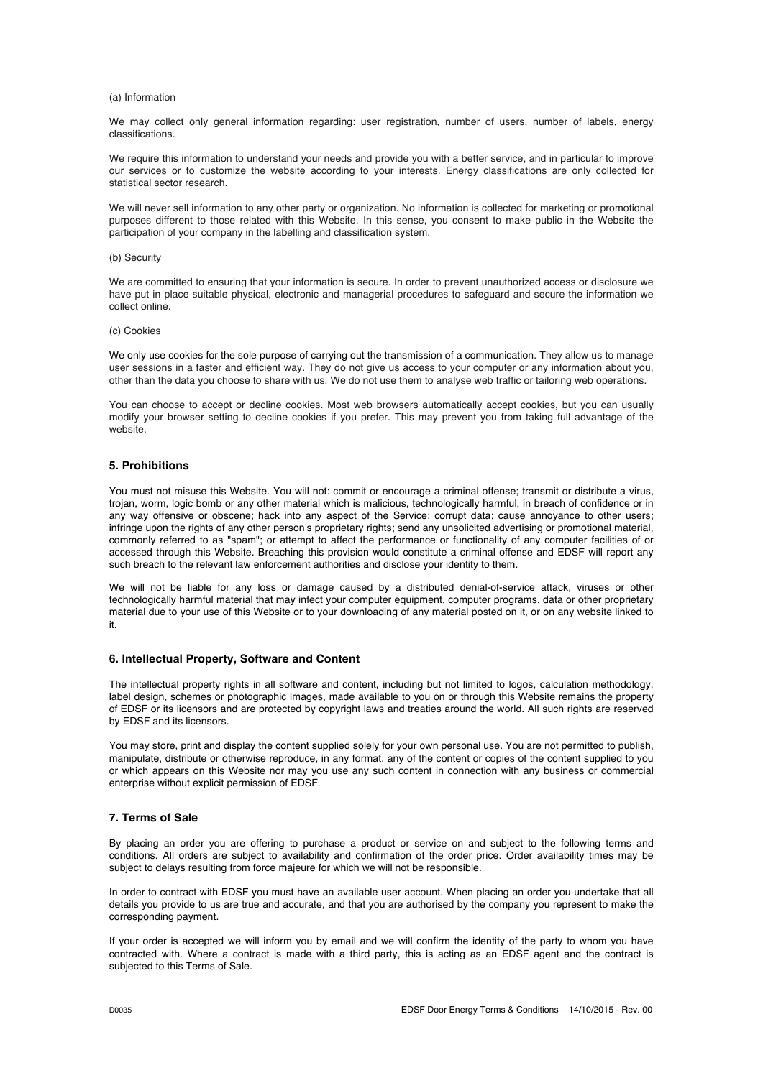#### (a) Information

We may collect only general information regarding: user registration, number of users, number of labels, energy classifications.

We require this information to understand your needs and provide you with a better service, and in particular to improve our services or to customize the website according to your interests. Energy classifications are only collected for statistical sector research.

We will never sell information to any other party or organization. No information is collected for marketing or promotional purposes different to those related with this Website. In this sense, you consent to make public in the Website the participation of your company in the labelling and classification system.

#### (b) Security

We are committed to ensuring that your information is secure. In order to prevent unauthorized access or disclosure we have put in place suitable physical, electronic and managerial procedures to safeguard and secure the information we collect online.

#### (c) Cookies

We only use cookies for the sole purpose of carrying out the transmission of a communication. They allow us to manage user sessions in a faster and efficient way. They do not give us access to your computer or any information about you, other than the data you choose to share with us. We do not use them to analyse web traffic or tailoring web operations.

You can choose to accept or decline cookies. Most web browsers automatically accept cookies, but you can usually modify your browser setting to decline cookies if you prefer. This may prevent you from taking full advantage of the website.

# **5. Prohibitions**

You must not misuse this Website. You will not: commit or encourage a criminal offense; transmit or distribute a virus, trojan, worm, logic bomb or any other material which is malicious, technologically harmful, in breach of confidence or in any way offensive or obscene; hack into any aspect of the Service; corrupt data; cause annoyance to other users; infringe upon the rights of any other person's proprietary rights; send any unsolicited advertising or promotional material, commonly referred to as "spam"; or attempt to affect the performance or functionality of any computer facilities of or accessed through this Website. Breaching this provision would constitute a criminal offense and EDSF will report any such breach to the relevant law enforcement authorities and disclose your identity to them.

We will not be liable for any loss or damage caused by a distributed denial-of-service attack, viruses or other technologically harmful material that may infect your computer equipment, computer programs, data or other proprietary material due to your use of this Website or to your downloading of any material posted on it, or on any website linked to it.

## **6. Intellectual Property, Software and Content**

The intellectual property rights in all software and content, including but not limited to logos, calculation methodology, label design, schemes or photographic images, made available to you on or through this Website remains the property of EDSF or its licensors and are protected by copyright laws and treaties around the world. All such rights are reserved by EDSF and its licensors.

You may store, print and display the content supplied solely for your own personal use. You are not permitted to publish, manipulate, distribute or otherwise reproduce, in any format, any of the content or copies of the content supplied to you or which appears on this Website nor may you use any such content in connection with any business or commercial enterprise without explicit permission of EDSF.

## **7. Terms of Sale**

By placing an order you are offering to purchase a product or service on and subject to the following terms and conditions. All orders are subject to availability and confirmation of the order price. Order availability times may be subject to delays resulting from force majeure for which we will not be responsible.

In order to contract with EDSF you must have an available user account. When placing an order you undertake that all details you provide to us are true and accurate, and that you are authorised by the company you represent to make the corresponding payment.

If your order is accepted we will inform you by email and we will confirm the identity of the party to whom you have contracted with. Where a contract is made with a third party, this is acting as an EDSF agent and the contract is subjected to this Terms of Sale.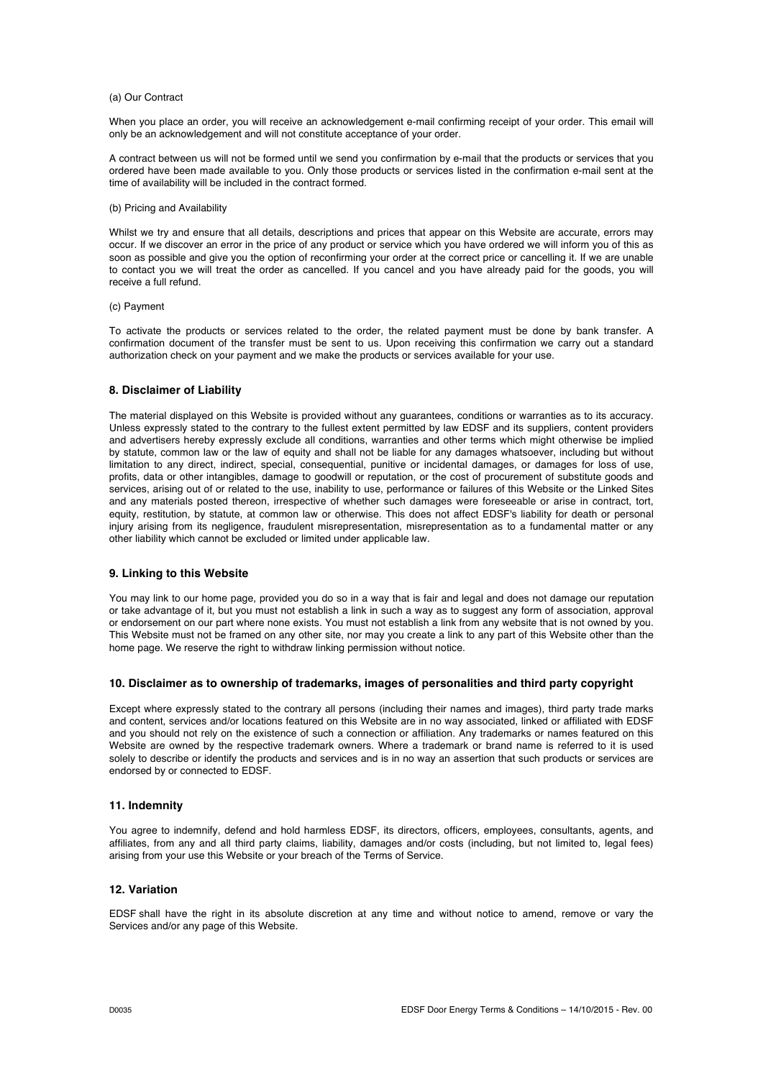#### (a) Our Contract

When you place an order, you will receive an acknowledgement e-mail confirming receipt of your order. This email will only be an acknowledgement and will not constitute acceptance of your order.

A contract between us will not be formed until we send you confirmation by e-mail that the products or services that you ordered have been made available to you. Only those products or services listed in the confirmation e-mail sent at the time of availability will be included in the contract formed.

#### (b) Pricing and Availability

Whilst we try and ensure that all details, descriptions and prices that appear on this Website are accurate, errors may occur. If we discover an error in the price of any product or service which you have ordered we will inform you of this as soon as possible and give you the option of reconfirming your order at the correct price or cancelling it. If we are unable to contact you we will treat the order as cancelled. If you cancel and you have already paid for the goods, you will receive a full refund.

## (c) Payment

To activate the products or services related to the order, the related payment must be done by bank transfer. A confirmation document of the transfer must be sent to us. Upon receiving this confirmation we carry out a standard authorization check on your payment and we make the products or services available for your use.

## **8. Disclaimer of Liability**

The material displayed on this Website is provided without any guarantees, conditions or warranties as to its accuracy. Unless expressly stated to the contrary to the fullest extent permitted by law EDSF and its suppliers, content providers and advertisers hereby expressly exclude all conditions, warranties and other terms which might otherwise be implied by statute, common law or the law of equity and shall not be liable for any damages whatsoever, including but without limitation to any direct, indirect, special, consequential, punitive or incidental damages, or damages for loss of use, profits, data or other intangibles, damage to goodwill or reputation, or the cost of procurement of substitute goods and services, arising out of or related to the use, inability to use, performance or failures of this Website or the Linked Sites and any materials posted thereon, irrespective of whether such damages were foreseeable or arise in contract, tort, equity, restitution, by statute, at common law or otherwise. This does not affect EDSF's liability for death or personal injury arising from its negligence, fraudulent misrepresentation, misrepresentation as to a fundamental matter or any other liability which cannot be excluded or limited under applicable law.

#### **9. Linking to this Website**

You may link to our home page, provided you do so in a way that is fair and legal and does not damage our reputation or take advantage of it, but you must not establish a link in such a way as to suggest any form of association, approval or endorsement on our part where none exists. You must not establish a link from any website that is not owned by you. This Website must not be framed on any other site, nor may you create a link to any part of this Website other than the home page. We reserve the right to withdraw linking permission without notice.

#### **10. Disclaimer as to ownership of trademarks, images of personalities and third party copyright**

Except where expressly stated to the contrary all persons (including their names and images), third party trade marks and content, services and/or locations featured on this Website are in no way associated, linked or affiliated with EDSF and you should not rely on the existence of such a connection or affiliation. Any trademarks or names featured on this Website are owned by the respective trademark owners. Where a trademark or brand name is referred to it is used solely to describe or identify the products and services and is in no way an assertion that such products or services are endorsed by or connected to EDSF.

#### **11. Indemnity**

You agree to indemnify, defend and hold harmless EDSF, its directors, officers, employees, consultants, agents, and affiliates, from any and all third party claims, liability, damages and/or costs (including, but not limited to, legal fees) arising from your use this Website or your breach of the Terms of Service.

## **12. Variation**

EDSF shall have the right in its absolute discretion at any time and without notice to amend, remove or vary the Services and/or any page of this Website.